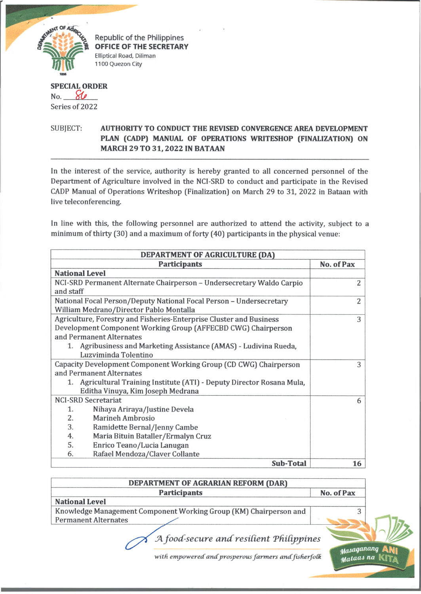

Republic of the Philippines OFFICE OF THE SECRETARY Elliptical Road, Diliman 1100 Quezon City

## **SPECIAL ORDER** No *. \_ £ 0\_ \_ \_* Series of 2022

## SUBJECT: **AUTHORITY TO CONDUCT THE REVISED CONVERGENCE AREA DEVELOPMENT PLAN (CADP) MANUAL OF OPERATIONS WRITESHOP (FINALIZATION) ON MARCH 29 TO 31,2022 IN BATAAN**

In the interest of the service, authority is hereby granted to all concerned personnel of the Department of Agriculture involved in the NCI-SRD to conduct and participate in the Revised CADP Manual of Operations Writeshop (Finalization) on March 29 to 31, 2022 in Bataan with live teleconferencing.

In line with this, the following personnel are authorized to attend the activity, subject to a minimum of thirty (30) and a maximum of forty (40) participants in the physical venue:

| DEPARTMENT OF AGRICULTURE (DA)                                          |            |  |
|-------------------------------------------------------------------------|------------|--|
| <b>Participants</b>                                                     | No. of Pax |  |
| <b>National Level</b>                                                   |            |  |
| NCI-SRD Permanent Alternate Chairperson – Undersecretary Waldo Carpio   | 2          |  |
| and staff                                                               |            |  |
| National Focal Person/Deputy National Focal Person - Undersecretary     | 2          |  |
| William Medrano/Director Pablo Montalla                                 |            |  |
| Agriculture, Forestry and Fisheries-Enterprise Cluster and Business     | 3          |  |
| Development Component Working Group (AFFECBD CWG) Chairperson           |            |  |
| and Permanent Alternates                                                |            |  |
| 1. Agribusiness and Marketing Assistance (AMAS) - Ludivina Rueda,       |            |  |
| Luzviminda Tolentino                                                    |            |  |
| Capacity Development Component Working Group (CD CWG) Chairperson       | 3          |  |
| and Permanent Alternates                                                |            |  |
| 1. Agricultural Training Institute (ATI) - Deputy Director Rosana Mula, |            |  |
| Editha Vinuya, Kim Joseph Medrana                                       |            |  |
| <b>NCI-SRD Secretariat</b>                                              | 6          |  |
| 1.<br>Nihaya Ariraya/Justine Devela                                     |            |  |
| 2.<br><b>Marineh Ambrosio</b>                                           |            |  |
| 3.<br>Ramidette Bernal/Jenny Cambe                                      |            |  |
| 4.<br>Maria Bituin Bataller/Ermalyn Cruz                                |            |  |
| 5.<br>Enrico Teano/Lucia Lanugan                                        |            |  |
| Rafael Mendoza/Claver Collante<br>6.                                    |            |  |
| <b>Sub-Total</b>                                                        | 16         |  |

| DEPARTMENT OF AGRARIAN REFORM (DAR)                               |            |
|-------------------------------------------------------------------|------------|
| <b>Participants</b>                                               | No. of Pax |
| <b>National Level</b>                                             |            |
| Knowledge Management Component Working Group (KM) Chairperson and |            |
| <b>Permanent Alternates</b>                                       |            |
| A food-secure and resilient Philippines                           |            |

with empowered and prosperous farmers and fisherfolk

**Mataas** na